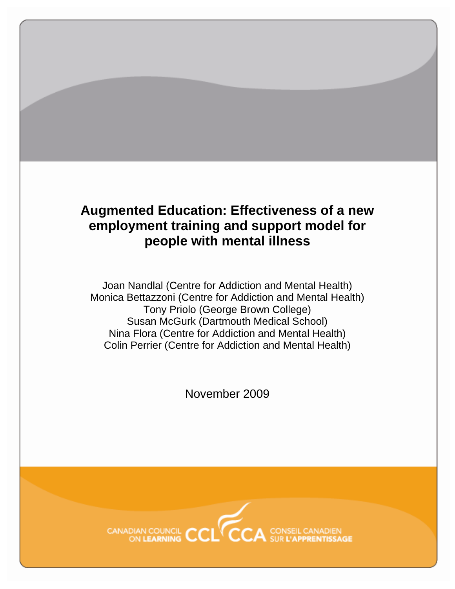# **Augmented Education: Effectiveness of a new employment training and support model for people with mental illness**

Joan Nandlal (Centre for Addiction and Mental Health) Monica Bettazzoni (Centre for Addiction and Mental Health) Tony Priolo (George Brown College) Susan McGurk (Dartmouth Medical School) Nina Flora (Centre for Addiction and Mental Health) Colin Perrier (Centre for Addiction and Mental Health)

November 2009

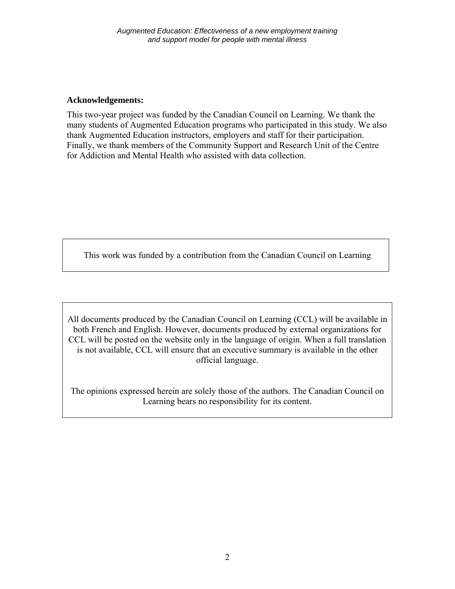## **Acknowledgements:**

This two-year project was funded by the Canadian Council on Learning. We thank the many students of Augmented Education programs who participated in this study. We also thank Augmented Education instructors, employers and staff for their participation. Finally, we thank members of the Community Support and Research Unit of the Centre for Addiction and Mental Health who assisted with data collection.

This work was funded by a contribution from the Canadian Council on Learning

All documents produced by the Canadian Council on Learning (CCL) will be available in both French and English. However, documents produced by external organizations for CCL will be posted on the website only in the language of origin. When a full translation is not available, CCL will ensure that an executive summary is available in the other official language.

The opinions expressed herein are solely those of the authors. The Canadian Council on Learning bears no responsibility for its content.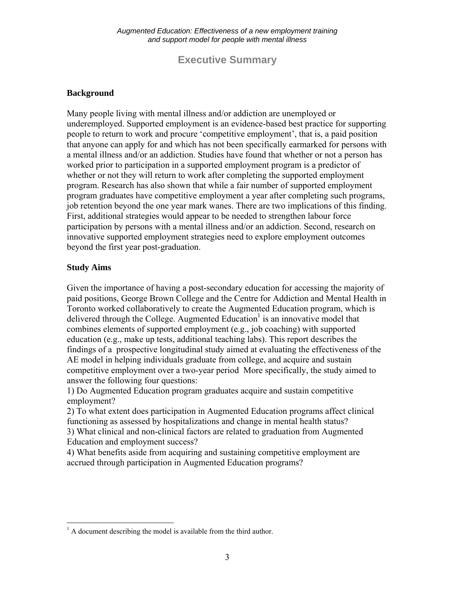**Executive Summary** 

## **Background**

Many people living with mental illness and/or addiction are unemployed or underemployed. Supported employment is an evidence-based best practice for supporting people to return to work and procure 'competitive employment', that is, a paid position that anyone can apply for and which has not been specifically earmarked for persons with a mental illness and/or an addiction. Studies have found that whether or not a person has worked prior to participation in a supported employment program is a predictor of whether or not they will return to work after completing the supported employment program. Research has also shown that while a fair number of supported employment program graduates have competitive employment a year after completing such programs, job retention beyond the one year mark wanes. There are two implications of this finding. First, additional strategies would appear to be needed to strengthen labour force participation by persons with a mental illness and/or an addiction. Second, research on innovative supported employment strategies need to explore employment outcomes beyond the first year post-graduation.

## **Study Aims**

Given the importance of having a post-secondary education for accessing the majority of paid positions, George Brown College and the Centre for Addiction and Mental Health in Toronto worked collaboratively to create the Augmented Education program, which is delivered through the College. Augmented Education<sup>1</sup> is an innovative model that combines elements of supported employment (e.g., job coaching) with supported education (e.g., make up tests, additional teaching labs). This report describes the findings of a prospective longitudinal study aimed at evaluating the effectiveness of the AE model in helping individuals graduate from college, and acquire and sustain competitive employment over a two-year period More specifically, the study aimed to answer the following four questions:

1) Do Augmented Education program graduates acquire and sustain competitive employment?

2) To what extent does participation in Augmented Education programs affect clinical functioning as assessed by hospitalizations and change in mental health status?

3) What clinical and non-clinical factors are related to graduation from Augmented Education and employment success?

4) What benefits aside from acquiring and sustaining competitive employment are accrued through participation in Augmented Education programs?

<sup>&</sup>lt;sup>1</sup> A document describing the model is available from the third author.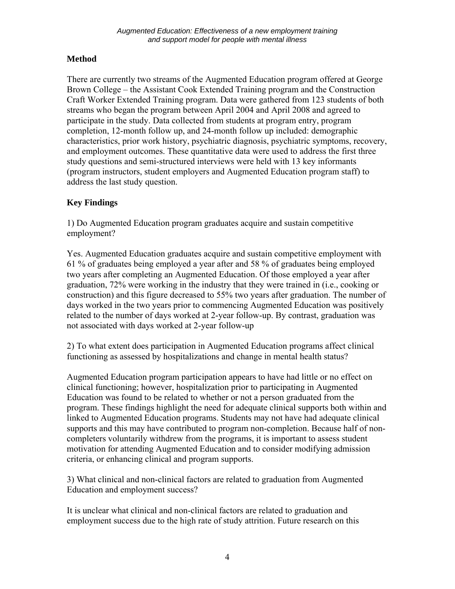# **Method**

There are currently two streams of the Augmented Education program offered at George Brown College – the Assistant Cook Extended Training program and the Construction Craft Worker Extended Training program. Data were gathered from 123 students of both streams who began the program between April 2004 and April 2008 and agreed to participate in the study. Data collected from students at program entry, program completion, 12-month follow up, and 24-month follow up included: demographic characteristics, prior work history, psychiatric diagnosis, psychiatric symptoms, recovery, and employment outcomes. These quantitative data were used to address the first three study questions and semi-structured interviews were held with 13 key informants (program instructors, student employers and Augmented Education program staff) to address the last study question.

# **Key Findings**

1) Do Augmented Education program graduates acquire and sustain competitive employment?

Yes. Augmented Education graduates acquire and sustain competitive employment with 61 % of graduates being employed a year after and 58 % of graduates being employed two years after completing an Augmented Education. Of those employed a year after graduation, 72% were working in the industry that they were trained in (i.e., cooking or construction) and this figure decreased to 55% two years after graduation. The number of days worked in the two years prior to commencing Augmented Education was positively related to the number of days worked at 2-year follow-up. By contrast, graduation was not associated with days worked at 2-year follow-up

2) To what extent does participation in Augmented Education programs affect clinical functioning as assessed by hospitalizations and change in mental health status?

Augmented Education program participation appears to have had little or no effect on clinical functioning; however, hospitalization prior to participating in Augmented Education was found to be related to whether or not a person graduated from the program. These findings highlight the need for adequate clinical supports both within and linked to Augmented Education programs. Students may not have had adequate clinical supports and this may have contributed to program non-completion. Because half of noncompleters voluntarily withdrew from the programs, it is important to assess student motivation for attending Augmented Education and to consider modifying admission criteria, or enhancing clinical and program supports.

3) What clinical and non-clinical factors are related to graduation from Augmented Education and employment success?

It is unclear what clinical and non-clinical factors are related to graduation and employment success due to the high rate of study attrition. Future research on this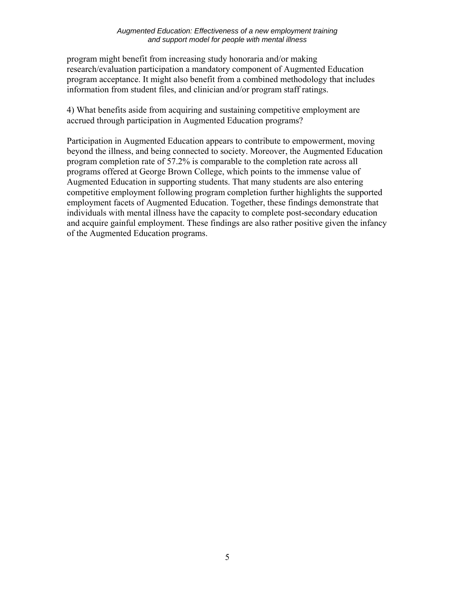#### *Augmented Education: Effectiveness of a new employment training and support model for people with mental illness*

program might benefit from increasing study honoraria and/or making research/evaluation participation a mandatory component of Augmented Education program acceptance. It might also benefit from a combined methodology that includes information from student files, and clinician and/or program staff ratings.

4) What benefits aside from acquiring and sustaining competitive employment are accrued through participation in Augmented Education programs?

Participation in Augmented Education appears to contribute to empowerment, moving beyond the illness, and being connected to society. Moreover, the Augmented Education program completion rate of 57.2% is comparable to the completion rate across all programs offered at George Brown College, which points to the immense value of Augmented Education in supporting students. That many students are also entering competitive employment following program completion further highlights the supported employment facets of Augmented Education. Together, these findings demonstrate that individuals with mental illness have the capacity to complete post-secondary education and acquire gainful employment. These findings are also rather positive given the infancy of the Augmented Education programs.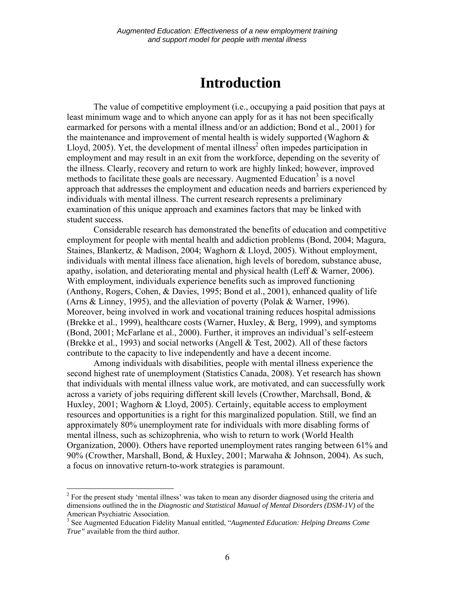# **Introduction**

The value of competitive employment (i.e., occupying a paid position that pays at least minimum wage and to which anyone can apply for as it has not been specifically earmarked for persons with a mental illness and/or an addiction; Bond et al., 2001) for the maintenance and improvement of mental health is widely supported (Waghorn  $\&$ Lloyd,  $2005$ ). Yet, the development of mental illness<sup>2</sup> often impedes participation in employment and may result in an exit from the workforce, depending on the severity of the illness. Clearly, recovery and return to work are highly linked; however, improved methods to facilitate these goals are necessary. Augmented Education<sup>3</sup> is a novel approach that addresses the employment and education needs and barriers experienced by individuals with mental illness. The current research represents a preliminary examination of this unique approach and examines factors that may be linked with student success.

Considerable research has demonstrated the benefits of education and competitive employment for people with mental health and addiction problems (Bond, 2004; Magura, Staines, Blankertz, & Madison, 2004; Waghorn & Lloyd, 2005). Without employment, individuals with mental illness face alienation, high levels of boredom, substance abuse, apathy, isolation, and deteriorating mental and physical health (Leff & Warner, 2006). With employment, individuals experience benefits such as improved functioning (Anthony, Rogers, Cohen, & Davies, 1995; Bond et al., 2001), enhanced quality of life (Arns & Linney, 1995), and the alleviation of poverty (Polak & Warner, 1996). Moreover, being involved in work and vocational training reduces hospital admissions (Brekke et al., 1999), healthcare costs (Warner, Huxley, & Berg, 1999), and symptoms (Bond, 2001; McFarlane et al., 2000). Further, it improves an individual's self-esteem (Brekke et al., 1993) and social networks (Angell & Test, 2002). All of these factors contribute to the capacity to live independently and have a decent income.

Among individuals with disabilities, people with mental illness experience the second highest rate of unemployment (Statistics Canada, 2008). Yet research has shown that individuals with mental illness value work, are motivated, and can successfully work across a variety of jobs requiring different skill levels (Crowther, Marchsall, Bond, & Huxley, 2001; Waghorn & Lloyd, 2005). Certainly, equitable access to employment resources and opportunities is a right for this marginalized population. Still, we find an approximately 80% unemployment rate for individuals with more disabling forms of mental illness, such as schizophrenia, who wish to return to work (World Health Organization, 2000). Others have reported unemployment rates ranging between 61% and 90% (Crowther, Marshall, Bond, & Huxley, 2001; Marwaha & Johnson, 2004). As such, a focus on innovative return-to-work strategies is paramount.

<sup>&</sup>lt;sup>2</sup> For the present study 'mental illness' was taken to mean any disorder diagnosed using the criteria and <sup>2</sup> dimensions outlined the in the *Diagnostic and Statistical Manual of Mental Disorders (DSM-1V)* of the American Psychiatric Association.

<sup>3</sup> See Augmented Education Fidelity Manual entitled, "*Augmented Education: Helping Dreams Come True"* available from the third author.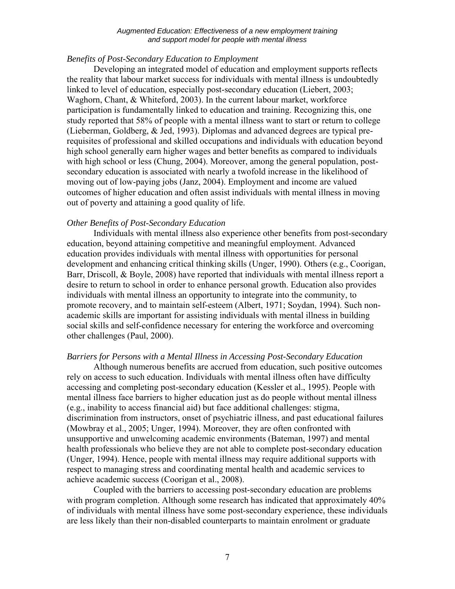#### *Augmented Education: Effectiveness of a new employment training and support model for people with mental illness*

#### *Benefits of Post-Secondary Education to Employment*

Developing an integrated model of education and employment supports reflects the reality that labour market success for individuals with mental illness is undoubtedly linked to level of education, especially post-secondary education (Liebert, 2003; Waghorn, Chant, & Whiteford, 2003). In the current labour market, workforce participation is fundamentally linked to education and training. Recognizing this, one study reported that 58% of people with a mental illness want to start or return to college (Lieberman, Goldberg, & Jed, 1993). Diplomas and advanced degrees are typical prerequisites of professional and skilled occupations and individuals with education beyond high school generally earn higher wages and better benefits as compared to individuals with high school or less (Chung, 2004). Moreover, among the general population, postsecondary education is associated with nearly a twofold increase in the likelihood of moving out of low-paying jobs (Janz, 2004). Employment and income are valued outcomes of higher education and often assist individuals with mental illness in moving out of poverty and attaining a good quality of life.

### *Other Benefits of Post-Secondary Education*

Individuals with mental illness also experience other benefits from post-secondary education, beyond attaining competitive and meaningful employment. Advanced education provides individuals with mental illness with opportunities for personal development and enhancing critical thinking skills (Unger, 1990). Others (e.g., Coorigan, Barr, Driscoll, & Boyle, 2008) have reported that individuals with mental illness report a desire to return to school in order to enhance personal growth. Education also provides individuals with mental illness an opportunity to integrate into the community, to promote recovery, and to maintain self-esteem (Albert, 1971; Soydan, 1994). Such nonacademic skills are important for assisting individuals with mental illness in building social skills and self-confidence necessary for entering the workforce and overcoming other challenges (Paul, 2000).

#### *Barriers for Persons with a Mental Illness in Accessing Post-Secondary Education*

Although numerous benefits are accrued from education, such positive outcomes rely on access to such education. Individuals with mental illness often have difficulty accessing and completing post-secondary education (Kessler et al., 1995). People with mental illness face barriers to higher education just as do people without mental illness (e.g., inability to access financial aid) but face additional challenges: stigma, discrimination from instructors, onset of psychiatric illness, and past educational failures (Mowbray et al., 2005; Unger, 1994). Moreover, they are often confronted with unsupportive and unwelcoming academic environments (Bateman, 1997) and mental health professionals who believe they are not able to complete post-secondary education (Unger, 1994). Hence, people with mental illness may require additional supports with respect to managing stress and coordinating mental health and academic services to achieve academic success (Coorigan et al., 2008).

Coupled with the barriers to accessing post-secondary education are problems with program completion. Although some research has indicated that approximately 40% of individuals with mental illness have some post-secondary experience, these individuals are less likely than their non-disabled counterparts to maintain enrolment or graduate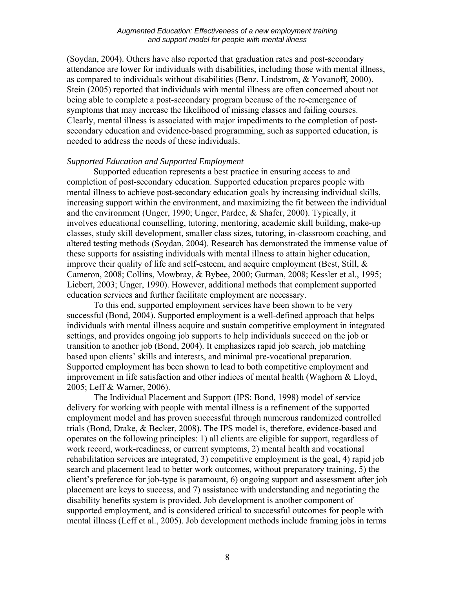(Soydan, 2004). Others have also reported that graduation rates and post-secondary attendance are lower for individuals with disabilities, including those with mental illness, as compared to individuals without disabilities (Benz, Lindstrom, & Yovanoff, 2000). Stein (2005) reported that individuals with mental illness are often concerned about not being able to complete a post-secondary program because of the re-emergence of symptoms that may increase the likelihood of missing classes and failing courses. Clearly, mental illness is associated with major impediments to the completion of postsecondary education and evidence-based programming, such as supported education, is needed to address the needs of these individuals.

### *Supported Education and Supported Employment*

 Supported education represents a best practice in ensuring access to and completion of post-secondary education. Supported education prepares people with mental illness to achieve post-secondary education goals by increasing individual skills, increasing support within the environment, and maximizing the fit between the individual and the environment (Unger, 1990; Unger, Pardee, & Shafer, 2000). Typically, it involves educational counselling, tutoring, mentoring, academic skill building, make-up classes, study skill development, smaller class sizes, tutoring, in-classroom coaching, and altered testing methods (Soydan, 2004). Research has demonstrated the immense value of these supports for assisting individuals with mental illness to attain higher education, improve their quality of life and self-esteem, and acquire employment (Best, Still, & Cameron, 2008; Collins, Mowbray, & Bybee, 2000; Gutman, 2008; Kessler et al., 1995; Liebert, 2003; Unger, 1990). However, additional methods that complement supported education services and further facilitate employment are necessary.

To this end, supported employment services have been shown to be very successful (Bond, 2004). Supported employment is a well-defined approach that helps individuals with mental illness acquire and sustain competitive employment in integrated settings, and provides ongoing job supports to help individuals succeed on the job or transition to another job (Bond, 2004). It emphasizes rapid job search, job matching based upon clients' skills and interests, and minimal pre-vocational preparation. Supported employment has been shown to lead to both competitive employment and improvement in life satisfaction and other indices of mental health (Waghorn & Lloyd, 2005; Leff & Warner, 2006).

The Individual Placement and Support (IPS: Bond, 1998) model of service delivery for working with people with mental illness is a refinement of the supported employment model and has proven successful through numerous randomized controlled trials (Bond, Drake, & Becker, 2008). The IPS model is, therefore, evidence-based and operates on the following principles: 1) all clients are eligible for support, regardless of work record, work-readiness, or current symptoms, 2) mental health and vocational rehabilitation services are integrated, 3) competitive employment is the goal, 4) rapid job search and placement lead to better work outcomes, without preparatory training, 5) the client's preference for job-type is paramount, 6) ongoing support and assessment after job placement are keys to success, and 7) assistance with understanding and negotiating the disability benefits system is provided. Job development is another component of supported employment, and is considered critical to successful outcomes for people with mental illness (Leff et al., 2005). Job development methods include framing jobs in terms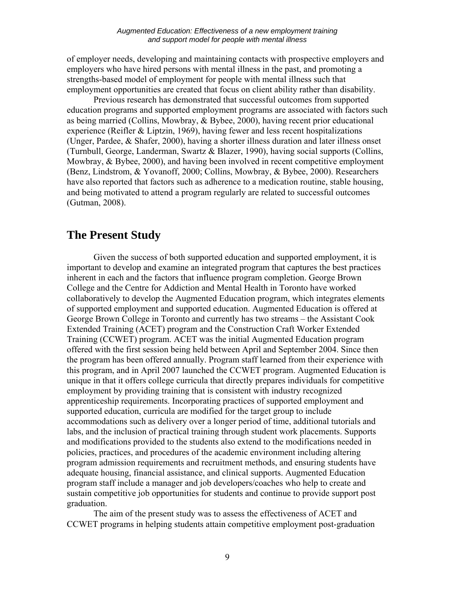of employer needs, developing and maintaining contacts with prospective employers and employers who have hired persons with mental illness in the past, and promoting a strengths-based model of employment for people with mental illness such that employment opportunities are created that focus on client ability rather than disability.

Previous research has demonstrated that successful outcomes from supported education programs and supported employment programs are associated with factors such as being married (Collins, Mowbray, & Bybee, 2000), having recent prior educational experience (Reifler & Liptzin, 1969), having fewer and less recent hospitalizations (Unger, Pardee, & Shafer, 2000), having a shorter illness duration and later illness onset (Turnbull, George, Landerman, Swartz & Blazer, 1990), having social supports (Collins, Mowbray, & Bybee, 2000), and having been involved in recent competitive employment (Benz, Lindstrom, & Yovanoff, 2000; Collins, Mowbray, & Bybee, 2000). Researchers have also reported that factors such as adherence to a medication routine, stable housing, and being motivated to attend a program regularly are related to successful outcomes (Gutman, 2008).

# **The Present Study**

Given the success of both supported education and supported employment, it is important to develop and examine an integrated program that captures the best practices inherent in each and the factors that influence program completion. George Brown College and the Centre for Addiction and Mental Health in Toronto have worked collaboratively to develop the Augmented Education program, which integrates elements of supported employment and supported education. Augmented Education is offered at George Brown College in Toronto and currently has two streams – the Assistant Cook Extended Training (ACET) program and the Construction Craft Worker Extended Training (CCWET) program. ACET was the initial Augmented Education program offered with the first session being held between April and September 2004. Since then the program has been offered annually. Program staff learned from their experience with this program, and in April 2007 launched the CCWET program. Augmented Education is unique in that it offers college curricula that directly prepares individuals for competitive employment by providing training that is consistent with industry recognized apprenticeship requirements. Incorporating practices of supported employment and supported education, curricula are modified for the target group to include accommodations such as delivery over a longer period of time, additional tutorials and labs, and the inclusion of practical training through student work placements. Supports and modifications provided to the students also extend to the modifications needed in policies, practices, and procedures of the academic environment including altering program admission requirements and recruitment methods, and ensuring students have adequate housing, financial assistance, and clinical supports. Augmented Education program staff include a manager and job developers/coaches who help to create and sustain competitive job opportunities for students and continue to provide support post graduation.

 The aim of the present study was to assess the effectiveness of ACET and CCWET programs in helping students attain competitive employment post-graduation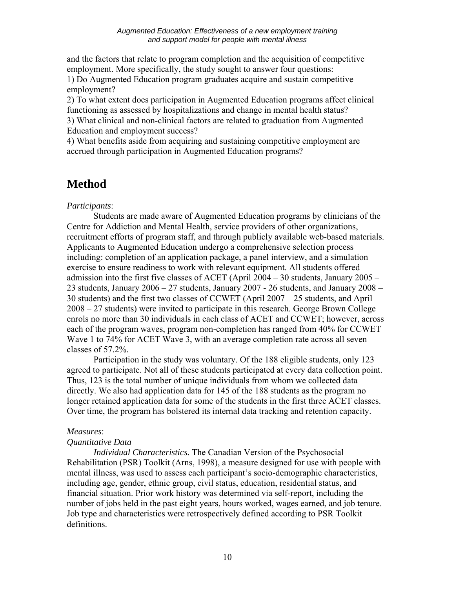and the factors that relate to program completion and the acquisition of competitive employment. More specifically, the study sought to answer four questions:

1) Do Augmented Education program graduates acquire and sustain competitive employment?

2) To what extent does participation in Augmented Education programs affect clinical functioning as assessed by hospitalizations and change in mental health status?

3) What clinical and non-clinical factors are related to graduation from Augmented Education and employment success?

4) What benefits aside from acquiring and sustaining competitive employment are accrued through participation in Augmented Education programs?

# **Method**

## *Participants*:

 Students are made aware of Augmented Education programs by clinicians of the Centre for Addiction and Mental Health, service providers of other organizations, recruitment efforts of program staff, and through publicly available web-based materials. Applicants to Augmented Education undergo a comprehensive selection process including: completion of an application package, a panel interview, and a simulation exercise to ensure readiness to work with relevant equipment. All students offered admission into the first five classes of ACET (April 2004 – 30 students, January 2005 – 23 students, January  $2006 - 27$  students, January  $2007 - 26$  students, and January  $2008 -$ 30 students) and the first two classes of CCWET (April 2007 – 25 students, and April 2008 – 27 students) were invited to participate in this research. George Brown College enrols no more than 30 individuals in each class of ACET and CCWET; however, across each of the program waves, program non-completion has ranged from 40% for CCWET Wave 1 to 74% for ACET Wave 3, with an average completion rate across all seven classes of 57.2%.

 Participation in the study was voluntary. Of the 188 eligible students, only 123 agreed to participate. Not all of these students participated at every data collection point. Thus, 123 is the total number of unique individuals from whom we collected data directly. We also had application data for 145 of the 188 students as the program no longer retained application data for some of the students in the first three ACET classes. Over time, the program has bolstered its internal data tracking and retention capacity.

## *Measures*:

## *Quantitative Data*

*Individual Characteristics.* The Canadian Version of the Psychosocial Rehabilitation (PSR) Toolkit (Arns, 1998), a measure designed for use with people with mental illness, was used to assess each participant's socio-demographic characteristics, including age, gender, ethnic group, civil status, education, residential status, and financial situation. Prior work history was determined via self-report, including the number of jobs held in the past eight years, hours worked, wages earned, and job tenure. Job type and characteristics were retrospectively defined according to PSR Toolkit definitions.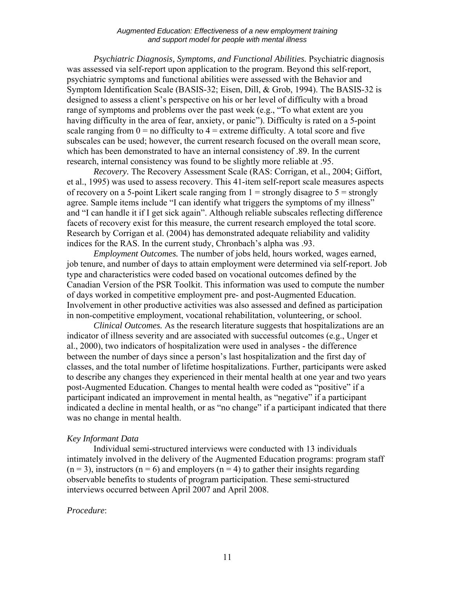*Psychiatric Diagnosis, Symptoms, and Functional Abilities.* Psychiatric diagnosis was assessed via self-report upon application to the program. Beyond this self-report, psychiatric symptoms and functional abilities were assessed with the Behavior and Symptom Identification Scale (BASIS-32; Eisen, Dill, & Grob, 1994). The BASIS-32 is designed to assess a client's perspective on his or her level of difficulty with a broad range of symptoms and problems over the past week (e.g., "To what extent are you having difficulty in the area of fear, anxiety, or panic"). Difficulty is rated on a 5-point scale ranging from  $0 =$  no difficulty to  $4 =$  extreme difficulty. A total score and five subscales can be used; however, the current research focused on the overall mean score, which has been demonstrated to have an internal consistency of .89. In the current research, internal consistency was found to be slightly more reliable at .95.

*Recovery.* The Recovery Assessment Scale (RAS: Corrigan, et al., 2004; Giffort, et al., 1995) was used to assess recovery. This 41-item self-report scale measures aspects of recovery on a 5-point Likert scale ranging from  $1 =$  strongly disagree to  $5 =$  strongly agree. Sample items include "I can identify what triggers the symptoms of my illness" and "I can handle it if I get sick again". Although reliable subscales reflecting difference facets of recovery exist for this measure, the current research employed the total score. Research by Corrigan et al. (2004) has demonstrated adequate reliability and validity indices for the RAS. In the current study, Chronbach's alpha was .93.

*Employment Outcomes.* The number of jobs held, hours worked, wages earned, job tenure, and number of days to attain employment were determined via self-report. Job type and characteristics were coded based on vocational outcomes defined by the Canadian Version of the PSR Toolkit. This information was used to compute the number of days worked in competitive employment pre- and post-Augmented Education. Involvement in other productive activities was also assessed and defined as participation in non-competitive employment, vocational rehabilitation, volunteering, or school.

*Clinical Outcomes.* As the research literature suggests that hospitalizations are an indicator of illness severity and are associated with successful outcomes (e.g., Unger et al., 2000), two indicators of hospitalization were used in analyses - the difference between the number of days since a person's last hospitalization and the first day of classes, and the total number of lifetime hospitalizations. Further, participants were asked to describe any changes they experienced in their mental health at one year and two years post-Augmented Education. Changes to mental health were coded as "positive" if a participant indicated an improvement in mental health, as "negative" if a participant indicated a decline in mental health, or as "no change" if a participant indicated that there was no change in mental health.

## *Key Informant Data*

 Individual semi-structured interviews were conducted with 13 individuals intimately involved in the delivery of the Augmented Education programs: program staff  $(n = 3)$ , instructors  $(n = 6)$  and employers  $(n = 4)$  to gather their insights regarding observable benefits to students of program participation. These semi-structured interviews occurred between April 2007 and April 2008.

## *Procedure*: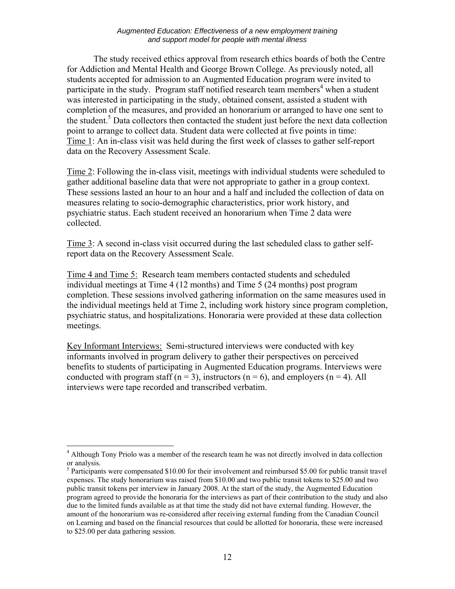The study received ethics approval from research ethics boards of both the Centre for Addiction and Mental Health and George Brown College. As previously noted, all students accepted for admission to an Augmented Education program were invited to participate in the study. Program staff notified research team members<sup>4</sup> when a student was interested in participating in the study, obtained consent, assisted a student with completion of the measures, and provided an honorarium or arranged to have one sent to the student.<sup>5</sup> Data collectors then contacted the student just before the next data collection point to arrange to collect data. Student data were collected at five points in time: Time 1: An in-class visit was held during the first week of classes to gather self-report data on the Recovery Assessment Scale.

Time 2: Following the in-class visit, meetings with individual students were scheduled to gather additional baseline data that were not appropriate to gather in a group context. These sessions lasted an hour to an hour and a half and included the collection of data on measures relating to socio-demographic characteristics, prior work history, and psychiatric status. Each student received an honorarium when Time 2 data were collected.

Time 3: A second in-class visit occurred during the last scheduled class to gather selfreport data on the Recovery Assessment Scale.

Time 4 and Time 5: Research team members contacted students and scheduled individual meetings at Time 4 (12 months) and Time 5 (24 months) post program completion. These sessions involved gathering information on the same measures used in the individual meetings held at Time 2, including work history since program completion, psychiatric status, and hospitalizations. Honoraria were provided at these data collection meetings.

Key Informant Interviews: Semi-structured interviews were conducted with key informants involved in program delivery to gather their perspectives on perceived benefits to students of participating in Augmented Education programs. Interviews were conducted with program staff ( $n = 3$ ), instructors ( $n = 6$ ), and employers ( $n = 4$ ). All interviews were tape recorded and transcribed verbatim.

<sup>&</sup>lt;u>.</u> <sup>4</sup> Although Tony Priolo was a member of the research team he was not directly involved in data collection or analysis.

<sup>&</sup>lt;sup>5</sup> Participants were compensated \$10.00 for their involvement and reimbursed \$5.00 for public transit travel expenses. The study honorarium was raised from \$10.00 and two public transit tokens to \$25.00 and two public transit tokens per interview in January 2008. At the start of the study, the Augmented Education program agreed to provide the honoraria for the interviews as part of their contribution to the study and also due to the limited funds available as at that time the study did not have external funding. However, the amount of the honorarium was re-considered after receiving external funding from the Canadian Council on Learning and based on the financial resources that could be allotted for honoraria, these were increased to \$25.00 per data gathering session.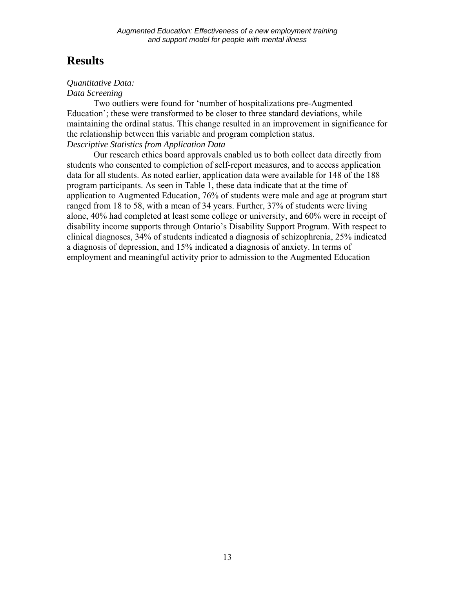# **Results**

# *Quantitative Data:*

## *Data Screening*

Two outliers were found for 'number of hospitalizations pre-Augmented Education'; these were transformed to be closer to three standard deviations, while maintaining the ordinal status. This change resulted in an improvement in significance for the relationship between this variable and program completion status. *Descriptive Statistics from Application Data* 

 Our research ethics board approvals enabled us to both collect data directly from students who consented to completion of self-report measures, and to access application data for all students. As noted earlier, application data were available for 148 of the 188 program participants. As seen in Table 1, these data indicate that at the time of application to Augmented Education, 76% of students were male and age at program start ranged from 18 to 58, with a mean of 34 years. Further, 37% of students were living alone, 40% had completed at least some college or university, and 60% were in receipt of disability income supports through Ontario's Disability Support Program. With respect to clinical diagnoses, 34% of students indicated a diagnosis of schizophrenia, 25% indicated a diagnosis of depression, and 15% indicated a diagnosis of anxiety. In terms of employment and meaningful activity prior to admission to the Augmented Education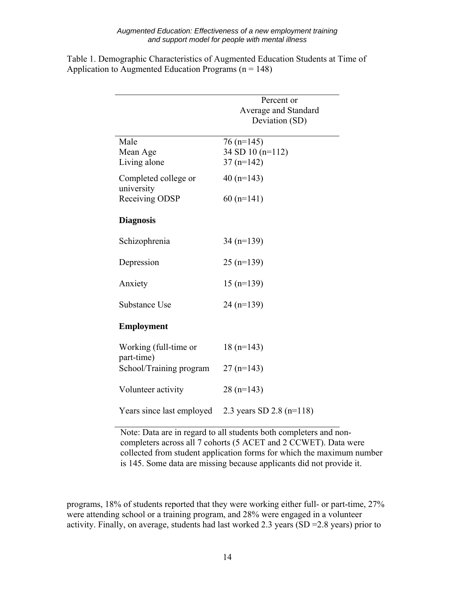|                                       | Percent or               |
|---------------------------------------|--------------------------|
|                                       | Average and Standard     |
|                                       | Deviation (SD)           |
| Male                                  | $76$ (n=145)             |
| Mean Age                              | 34 SD 10 (n=112)         |
| Living alone                          | $37(n=142)$              |
| Completed college or<br>university    | 40 $(n=143)$             |
| Receiving ODSP                        | $60$ (n=141)             |
| <b>Diagnosis</b>                      |                          |
| Schizophrenia                         | $34(n=139)$              |
| Depression                            | $25$ (n=139)             |
| Anxiety                               | $15$ (n= $139$ )         |
| Substance Use                         | $24(n=139)$              |
| <b>Employment</b>                     |                          |
| Working (full-time or                 | $18(n=143)$              |
| part-time)<br>School/Training program | $27(n=143)$              |
| Volunteer activity                    | $28(n=143)$              |
| Years since last employed             | 2.3 years SD 2.8 (n=118) |

Table 1. Demographic Characteristics of Augmented Education Students at Time of Application to Augmented Education Programs  $(n = 148)$ 

> Note: Data are in regard to all students both completers and noncompleters across all 7 cohorts (5 ACET and 2 CCWET). Data were collected from student application forms for which the maximum number is 145. Some data are missing because applicants did not provide it.

programs, 18% of students reported that they were working either full- or part-time, 27% were attending school or a training program, and 28% were engaged in a volunteer activity. Finally, on average, students had last worked 2.3 years (SD =2.8 years) prior to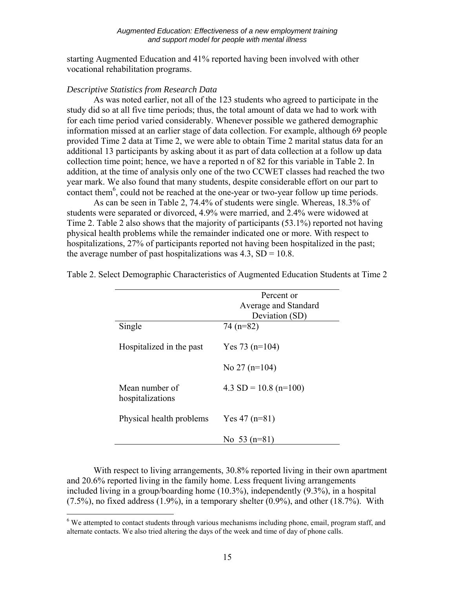starting Augmented Education and 41% reported having been involved with other vocational rehabilitation programs.

### *Descriptive Statistics from Research Data*

 $\overline{a}$ 

 As was noted earlier, not all of the 123 students who agreed to participate in the study did so at all five time periods; thus, the total amount of data we had to work with for each time period varied considerably. Whenever possible we gathered demographic information missed at an earlier stage of data collection. For example, although 69 people provided Time 2 data at Time 2, we were able to obtain Time 2 marital status data for an additional 13 participants by asking about it as part of data collection at a follow up data collection time point; hence, we have a reported n of 82 for this variable in Table 2. In addition, at the time of analysis only one of the two CCWET classes had reached the two year mark. We also found that many students, despite considerable effort on our part to contact them<sup>6</sup>, could not be reached at the one-year or two-year follow up time periods.

As can be seen in Table 2, 74.4% of students were single. Whereas, 18.3% of students were separated or divorced, 4.9% were married, and 2.4% were widowed at Time 2. Table 2 also shows that the majority of participants (53.1%) reported not having physical health problems while the remainder indicated one or more. With respect to hospitalizations, 27% of participants reported not having been hospitalized in the past; the average number of past hospitalizations was  $4.3$ , SD = 10.8.

|                                    | Percent or<br>Average and Standard<br>Deviation (SD) |
|------------------------------------|------------------------------------------------------|
| Single                             | $74(n=82)$                                           |
| Hospitalized in the past           | Yes 73 $(n=104)$                                     |
|                                    | No $27$ (n=104)                                      |
| Mean number of<br>hospitalizations | $4.3 SD = 10.8 (n=100)$                              |
| Physical health problems           | Yes $47$ (n=81)                                      |
|                                    | No 53 $(n=81)$                                       |

Table 2. Select Demographic Characteristics of Augmented Education Students at Time 2

With respect to living arrangements, 30.8% reported living in their own apartment and 20.6% reported living in the family home. Less frequent living arrangements included living in a group/boarding home (10.3%), independently (9.3%), in a hospital  $(7.5\%)$ , no fixed address  $(1.9\%)$ , in a temporary shelter  $(0.9\%)$ , and other  $(18.7\%)$ . With

<sup>&</sup>lt;sup>6</sup> We attempted to contact students through various mechanisms including phone, email, program staff, and alternate contacts. We also tried altering the days of the week and time of day of phone calls.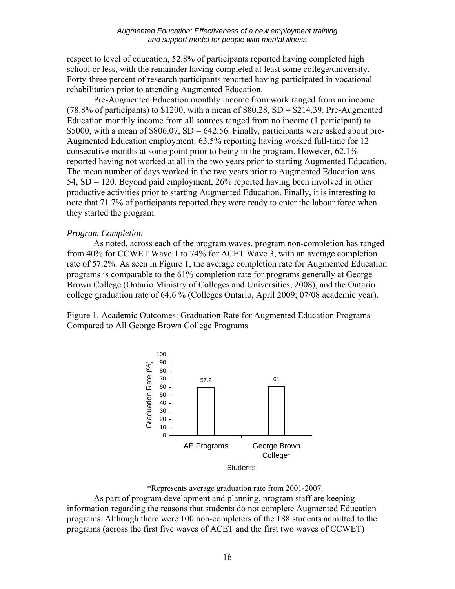respect to level of education, 52.8% of participants reported having completed high school or less, with the remainder having completed at least some college/university. Forty-three percent of research participants reported having participated in vocational rehabilitation prior to attending Augmented Education.

Pre-Augmented Education monthly income from work ranged from no income (78.8% of participants) to \$1200, with a mean of  $$80.28$ , SD = \$214.39. Pre-Augmented Education monthly income from all sources ranged from no income (1 participant) to \$5000, with a mean of  $$806.07$ ,  $SD = 642.56$ . Finally, participants were asked about pre-Augmented Education employment: 63.5% reporting having worked full-time for 12 consecutive months at some point prior to being in the program. However, 62.1% reported having not worked at all in the two years prior to starting Augmented Education. The mean number of days worked in the two years prior to Augmented Education was 54, SD = 120. Beyond paid employment, 26% reported having been involved in other productive activities prior to starting Augmented Education. Finally, it is interesting to note that 71.7% of participants reported they were ready to enter the labour force when they started the program.

## *Program Completion*

As noted, across each of the program waves, program non-completion has ranged from 40% for CCWET Wave 1 to 74% for ACET Wave 3, with an average completion rate of 57.2%. As seen in Figure 1, the average completion rate for Augmented Education programs is comparable to the 61% completion rate for programs generally at George Brown College (Ontario Ministry of Colleges and Universities, 2008), and the Ontario college graduation rate of 64.6 % (Colleges Ontario, April 2009; 07/08 academic year).

Figure 1. Academic Outcomes: Graduation Rate for Augmented Education Programs Compared to All George Brown College Programs



\*Represents average graduation rate from 2001-2007. As part of program development and planning, program staff are keeping information regarding the reasons that students do not complete Augmented Education programs. Although there were 100 non-completers of the 188 students admitted to the programs (across the first five waves of ACET and the first two waves of CCWET)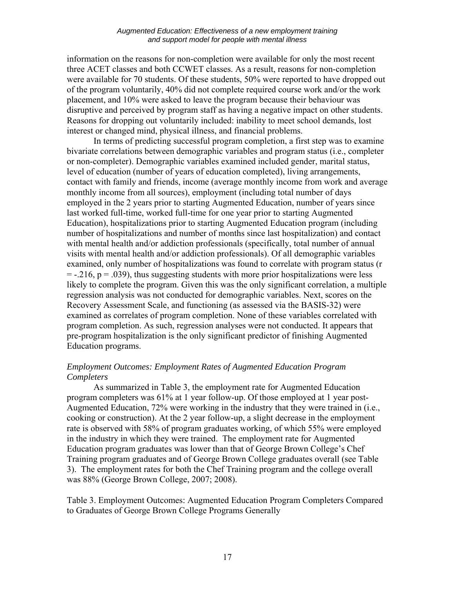information on the reasons for non-completion were available for only the most recent three ACET classes and both CCWET classes. As a result, reasons for non-completion were available for 70 students. Of these students, 50% were reported to have dropped out of the program voluntarily, 40% did not complete required course work and/or the work placement, and 10% were asked to leave the program because their behaviour was disruptive and perceived by program staff as having a negative impact on other students. Reasons for dropping out voluntarily included: inability to meet school demands, lost interest or changed mind, physical illness, and financial problems.

 In terms of predicting successful program completion, a first step was to examine bivariate correlations between demographic variables and program status (i.e., completer or non-completer). Demographic variables examined included gender, marital status, level of education (number of years of education completed), living arrangements, contact with family and friends, income (average monthly income from work and average monthly income from all sources), employment (including total number of days employed in the 2 years prior to starting Augmented Education, number of years since last worked full-time, worked full-time for one year prior to starting Augmented Education), hospitalizations prior to starting Augmented Education program (including number of hospitalizations and number of months since last hospitalization) and contact with mental health and/or addiction professionals (specifically, total number of annual visits with mental health and/or addiction professionals). Of all demographic variables examined, only number of hospitalizations was found to correlate with program status (r  $= -0.216$ ,  $p = 0.039$ ), thus suggesting students with more prior hospitalizations were less likely to complete the program. Given this was the only significant correlation, a multiple regression analysis was not conducted for demographic variables. Next, scores on the Recovery Assessment Scale, and functioning (as assessed via the BASIS-32) were examined as correlates of program completion. None of these variables correlated with program completion. As such, regression analyses were not conducted. It appears that pre-program hospitalization is the only significant predictor of finishing Augmented Education programs.

## *Employment Outcomes: Employment Rates of Augmented Education Program Completers*

As summarized in Table 3, the employment rate for Augmented Education program completers was 61% at 1 year follow-up. Of those employed at 1 year post-Augmented Education, 72% were working in the industry that they were trained in (i.e., cooking or construction). At the 2 year follow-up, a slight decrease in the employment rate is observed with 58% of program graduates working, of which 55% were employed in the industry in which they were trained. The employment rate for Augmented Education program graduates was lower than that of George Brown College's Chef Training program graduates and of George Brown College graduates overall (see Table 3). The employment rates for both the Chef Training program and the college overall was 88% (George Brown College, 2007; 2008).

Table 3. Employment Outcomes: Augmented Education Program Completers Compared to Graduates of George Brown College Programs Generally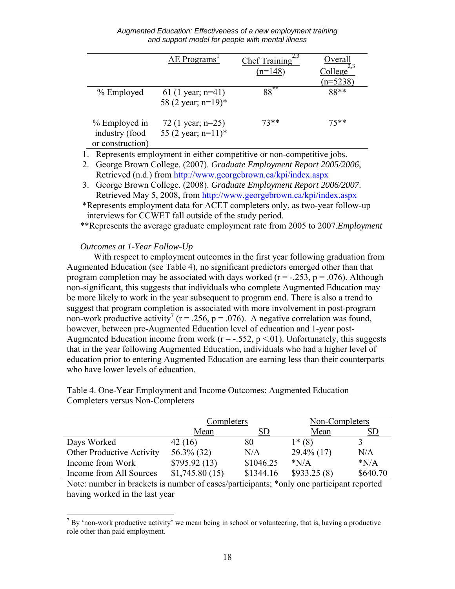*Augmented Education: Effectiveness of a new employment training and support model for people with mental illness*

|                                                                                                        | AE Programs <sup>1</sup>        | Chef Training | Overall                |  |  |  |
|--------------------------------------------------------------------------------------------------------|---------------------------------|---------------|------------------------|--|--|--|
|                                                                                                        |                                 | $(n=148)$     | College <sup>2,3</sup> |  |  |  |
|                                                                                                        |                                 |               | $(n=5238)$             |  |  |  |
| % Employed                                                                                             | 61 (1 year; $n=41$ )            | **<br>88      | $88**$                 |  |  |  |
|                                                                                                        | 58 (2 year; n=19)*              |               |                        |  |  |  |
| % Employed in                                                                                          | 72 (1 year; $n=25$ )            | $73**$        | 75**                   |  |  |  |
| industry (food                                                                                         | 55 (2 year; $n=11$ <sup>*</sup> |               |                        |  |  |  |
| or construction)                                                                                       |                                 |               |                        |  |  |  |
| antica a componente de<br>catalogue d'origine<br>$\bf{D}$ concernate constructions and in with concern |                                 |               |                        |  |  |  |

1. Represents employment in either competitive or non-competitive jobs.

- 2. George Brown College. (2007). *Graduate Employment Report 2005/2006*, Retrieved (n.d.) from http://www.georgebrown.ca/kpi/index.aspx
- 3. George Brown College. (2008). *Graduate Employment Report 2006/2007*. Retrieved May 5, 2008, from http://www.georgebrown.ca/kpi/index.aspx

\*Represents employment data for ACET completers only, as two-year follow-up interviews for CCWET fall outside of the study period.

\*\*Represents the average graduate employment rate from 2005 to 2007.*Employment* 

## *Outcomes at 1-Year Follow-Up*

With respect to employment outcomes in the first year following graduation from Augmented Education (see Table 4), no significant predictors emerged other than that program completion may be associated with days worked ( $r = -0.253$ ,  $p = 0.076$ ). Although non-significant, this suggests that individuals who complete Augmented Education may be more likely to work in the year subsequent to program end. There is also a trend to suggest that program completion is associated with more involvement in post-program non-work productive activity<sup>7</sup> ( $r = 0.256$ ,  $p = 0.076$ ). A negative correlation was found, however, between pre-Augmented Education level of education and 1-year post-Augmented Education income from work ( $r = -.552$ ,  $p < 01$ ). Unfortunately, this suggests that in the year following Augmented Education, individuals who had a higher level of education prior to entering Augmented Education are earning less than their counterparts who have lower levels of education.

|                                  | Completers     |           | Non-Completers |          |
|----------------------------------|----------------|-----------|----------------|----------|
|                                  | Mean           | SD        | Mean           | SD       |
| Days Worked                      | 42(16)         | 80        | $1*(8)$        |          |
| <b>Other Productive Activity</b> | 56.3% (32)     | N/A       | $29.4\%$ (17)  | N/A      |
| Income from Work                 | \$795.92(13)   | \$1046.25 | $*N/A$         | $*N/A$   |
| Income from All Sources          | \$1,745.80(15) | \$1344.16 | \$933.25(8)    | \$640.70 |

Table 4. One-Year Employment and Income Outcomes: Augmented Education Completers versus Non-Completers

Note: number in brackets is number of cases/participants; \*only one participant reported having worked in the last year

<sup>&</sup>lt;sup>7</sup> By 'non-work productive activity' we mean being in school or volunteering, that is, having a productive role other than paid employment.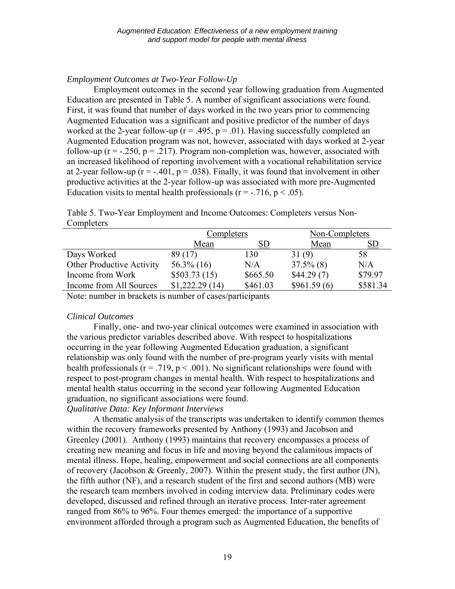## *Employment Outcomes at Two-Year Follow-Up*

Employment outcomes in the second year following graduation from Augmented Education are presented in Table 5. A number of significant associations were found. First, it was found that number of days worked in the two years prior to commencing Augmented Education was a significant and positive predictor of the number of days worked at the 2-year follow-up ( $r = .495$ ,  $p = .01$ ). Having successfully completed an Augmented Education program was not, however, associated with days worked at 2-year follow-up ( $r = -0.250$ ,  $p = 0.217$ ). Program non-completion was, however, associated with an increased likelihood of reporting involvement with a vocational rehabilitation service at 2-year follow-up ( $r = -.401$ ,  $p = .038$ ). Finally, it was found that involvement in other productive activities at the 2-year follow-up was associated with more pre-Augmented Education visits to mental health professionals ( $r = -0.716$ ,  $p < 0.05$ ).

Table 5. Two-Year Employment and Income Outcomes: Completers versus Non-Completers

| Completers     |    | Non-Completers                     |                                                    |
|----------------|----|------------------------------------|----------------------------------------------------|
| Mean           | SD | Mean                               | SD                                                 |
| 89 (17)        |    |                                    | 58                                                 |
| $56.3\%$ (16)  |    |                                    | N/A                                                |
| \$503.73(15)   |    |                                    | \$79.97                                            |
| \$1,222,29(14) |    |                                    | \$581.34                                           |
|                |    | 130<br>N/A<br>\$665.50<br>\$461.03 | 31(9)<br>$37.5\%$ (8)<br>\$44.29(7)<br>\$961.59(6) |

Note: number in brackets is number of cases/participants

## *Clinical Outcomes*

 Finally, one- and two-year clinical outcomes were examined in association with the various predictor variables described above. With respect to hospitalizations occurring in the year following Augmented Education graduation, a significant relationship was only found with the number of pre-program yearly visits with mental health professionals ( $r = .719$ ,  $p < .001$ ). No significant relationships were found with respect to post-program changes in mental health. With respect to hospitalizations and mental health status occurring in the second year following Augmented Education graduation, no significant associations were found.

## *Qualitative Data: Key Informant Interviews*

A thematic analysis of the transcripts was undertaken to identify common themes within the recovery frameworks presented by Anthony (1993) and Jacobson and Greenley (2001). Anthony (1993) maintains that recovery encompasses a process of creating new meaning and focus in life and moving beyond the calamitous impacts of mental illness. Hope, healing, empowerment and social connections are all components of recovery (Jacobson & Greenly, 2007). Within the present study, the first author (JN), the fifth author (NF), and a research student of the first and second authors (MB) were the research team members involved in coding interview data. Preliminary codes were developed, discussed and refined through an iterative process. Inter-rater agreement ranged from 86% to 96%. Four themes emerged: the importance of a supportive environment afforded through a program such as Augmented Education, the benefits of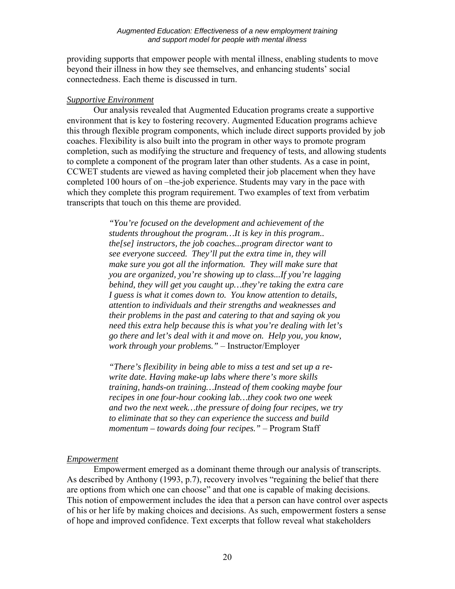providing supports that empower people with mental illness, enabling students to move beyond their illness in how they see themselves, and enhancing students' social connectedness. Each theme is discussed in turn.

## *Supportive Environment*

Our analysis revealed that Augmented Education programs create a supportive environment that is key to fostering recovery. Augmented Education programs achieve this through flexible program components, which include direct supports provided by job coaches. Flexibility is also built into the program in other ways to promote program completion, such as modifying the structure and frequency of tests, and allowing students to complete a component of the program later than other students. As a case in point, CCWET students are viewed as having completed their job placement when they have completed 100 hours of on –the-job experience. Students may vary in the pace with which they complete this program requirement. Two examples of text from verbatim transcripts that touch on this theme are provided.

> *"You're focused on the development and achievement of the students throughout the program…It is key in this program.. the[se] instructors, the job coaches...program director want to see everyone succeed. They'll put the extra time in, they will make sure you got all the information. They will make sure that you are organized, you're showing up to class...If you're lagging behind, they will get you caught up…they're taking the extra care I guess is what it comes down to. You know attention to details, attention to individuals and their strengths and weaknesses and their problems in the past and catering to that and saying ok you need this extra help because this is what you're dealing with let's go there and let's deal with it and move on. Help you, you know, work through your problems."* – Instructor/Employer

> *"There's flexibility in being able to miss a test and set up a rewrite date. Having make-up labs where there's more skills training, hands-on training…Instead of them cooking maybe four recipes in one four-hour cooking lab…they cook two one week and two the next week…the pressure of doing four recipes, we try to eliminate that so they can experience the success and build momentum – towards doing four recipes."* – Program Staff

## *Empowerment*

 Empowerment emerged as a dominant theme through our analysis of transcripts. As described by Anthony (1993, p.7), recovery involves "regaining the belief that there are options from which one can choose" and that one is capable of making decisions. This notion of empowerment includes the idea that a person can have control over aspects of his or her life by making choices and decisions. As such, empowerment fosters a sense of hope and improved confidence. Text excerpts that follow reveal what stakeholders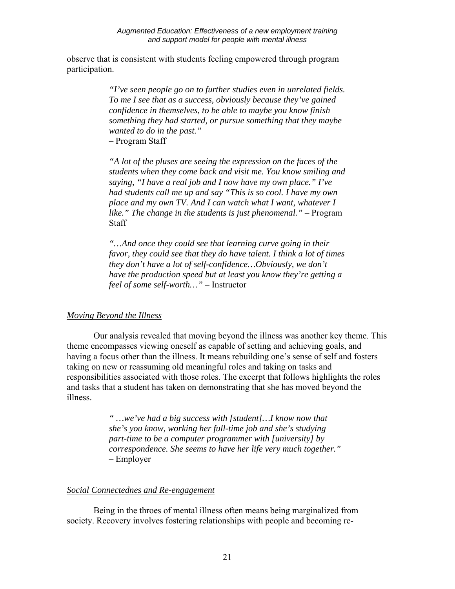observe that is consistent with students feeling empowered through program participation.

> *"I've seen people go on to further studies even in unrelated fields. To me I see that as a success, obviously because they've gained confidence in themselves, to be able to maybe you know finish something they had started, or pursue something that they maybe wanted to do in the past."*

– Program Staff

*"A lot of the pluses are seeing the expression on the faces of the students when they come back and visit me. You know smiling and saying, "I have a real job and I now have my own place." I've had students call me up and say "This is so cool. I have my own place and my own TV. And I can watch what I want, whatever I like." The change in the students is just phenomenal."* – Program **Staff** 

*"…And once they could see that learning curve going in their favor, they could see that they do have talent. I think a lot of times they don't have a lot of self-confidence…Obviously, we don't have the production speed but at least you know they're getting a feel of some self-worth…" –* Instructor

## *Moving Beyond the Illness*

Our analysis revealed that moving beyond the illness was another key theme. This theme encompasses viewing oneself as capable of setting and achieving goals, and having a focus other than the illness. It means rebuilding one's sense of self and fosters taking on new or reassuming old meaningful roles and taking on tasks and responsibilities associated with those roles. The excerpt that follows highlights the roles and tasks that a student has taken on demonstrating that she has moved beyond the illness.

> *" …we've had a big success with [student]…I know now that she's you know, working her full-time job and she's studying part-time to be a computer programmer with [university] by correspondence. She seems to have her life very much together."* – Employer

## *Social Connectednes and Re-engagement*

Being in the throes of mental illness often means being marginalized from society. Recovery involves fostering relationships with people and becoming re-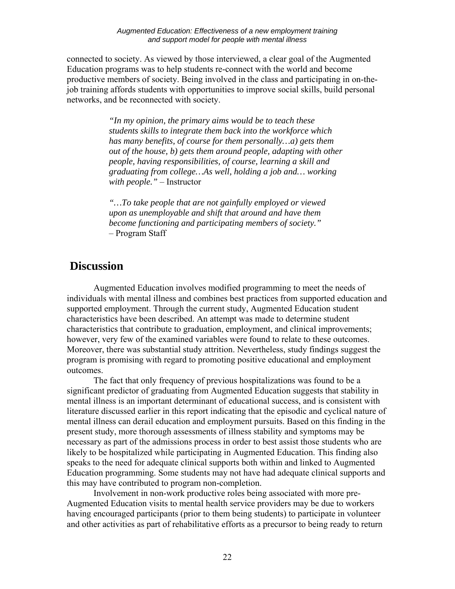connected to society. As viewed by those interviewed, a clear goal of the Augmented Education programs was to help students re-connect with the world and become productive members of society. Being involved in the class and participating in on-thejob training affords students with opportunities to improve social skills, build personal networks, and be reconnected with society.

> *"In my opinion, the primary aims would be to teach these students skills to integrate them back into the workforce which has many benefits, of course for them personally…a) gets them out of the house, b) gets them around people, adapting with other people, having responsibilities, of course, learning a skill and graduating from college…As well, holding a job and… working with people."* – Instructor

*"…To take people that are not gainfully employed or viewed upon as unemployable and shift that around and have them become functioning and participating members of society."* – Program Staff

# **Discussion**

Augmented Education involves modified programming to meet the needs of individuals with mental illness and combines best practices from supported education and supported employment. Through the current study, Augmented Education student characteristics have been described. An attempt was made to determine student characteristics that contribute to graduation, employment, and clinical improvements; however, very few of the examined variables were found to relate to these outcomes. Moreover, there was substantial study attrition. Nevertheless, study findings suggest the program is promising with regard to promoting positive educational and employment outcomes.

The fact that only frequency of previous hospitalizations was found to be a significant predictor of graduating from Augmented Education suggests that stability in mental illness is an important determinant of educational success, and is consistent with literature discussed earlier in this report indicating that the episodic and cyclical nature of mental illness can derail education and employment pursuits. Based on this finding in the present study, more thorough assessments of illness stability and symptoms may be necessary as part of the admissions process in order to best assist those students who are likely to be hospitalized while participating in Augmented Education. This finding also speaks to the need for adequate clinical supports both within and linked to Augmented Education programming. Some students may not have had adequate clinical supports and this may have contributed to program non-completion.

Involvement in non-work productive roles being associated with more pre-Augmented Education visits to mental health service providers may be due to workers having encouraged participants (prior to them being students) to participate in volunteer and other activities as part of rehabilitative efforts as a precursor to being ready to return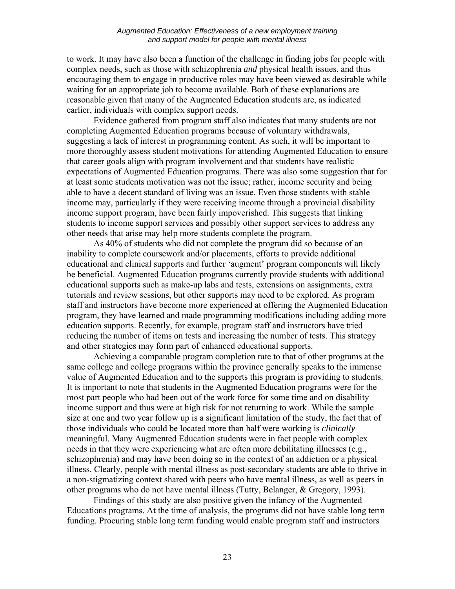to work. It may have also been a function of the challenge in finding jobs for people with complex needs, such as those with schizophrenia *and* physical health issues, and thus encouraging them to engage in productive roles may have been viewed as desirable while waiting for an appropriate job to become available. Both of these explanations are reasonable given that many of the Augmented Education students are, as indicated earlier, individuals with complex support needs.

Evidence gathered from program staff also indicates that many students are not completing Augmented Education programs because of voluntary withdrawals, suggesting a lack of interest in programming content. As such, it will be important to more thoroughly assess student motivations for attending Augmented Education to ensure that career goals align with program involvement and that students have realistic expectations of Augmented Education programs. There was also some suggestion that for at least some students motivation was not the issue; rather, income security and being able to have a decent standard of living was an issue. Even those students with stable income may, particularly if they were receiving income through a provincial disability income support program, have been fairly impoverished. This suggests that linking students to income support services and possibly other support services to address any other needs that arise may help more students complete the program.

As 40% of students who did not complete the program did so because of an inability to complete coursework and/or placements, efforts to provide additional educational and clinical supports and further 'augment' program components will likely be beneficial. Augmented Education programs currently provide students with additional educational supports such as make-up labs and tests, extensions on assignments, extra tutorials and review sessions, but other supports may need to be explored. As program staff and instructors have become more experienced at offering the Augmented Education program, they have learned and made programming modifications including adding more education supports. Recently, for example, program staff and instructors have tried reducing the number of items on tests and increasing the number of tests. This strategy and other strategies may form part of enhanced educational supports.

Achieving a comparable program completion rate to that of other programs at the same college and college programs within the province generally speaks to the immense value of Augmented Education and to the supports this program is providing to students. It is important to note that students in the Augmented Education programs were for the most part people who had been out of the work force for some time and on disability income support and thus were at high risk for not returning to work. While the sample size at one and two year follow up is a significant limitation of the study, the fact that of those individuals who could be located more than half were working is *clinically*  meaningful. Many Augmented Education students were in fact people with complex needs in that they were experiencing what are often more debilitating illnesses (e.g., schizophrenia) and may have been doing so in the context of an addiction or a physical illness. Clearly, people with mental illness as post-secondary students are able to thrive in a non-stigmatizing context shared with peers who have mental illness, as well as peers in other programs who do not have mental illness (Tutty, Belanger, & Gregory, 1993).

Findings of this study are also positive given the infancy of the Augmented Educations programs. At the time of analysis, the programs did not have stable long term funding. Procuring stable long term funding would enable program staff and instructors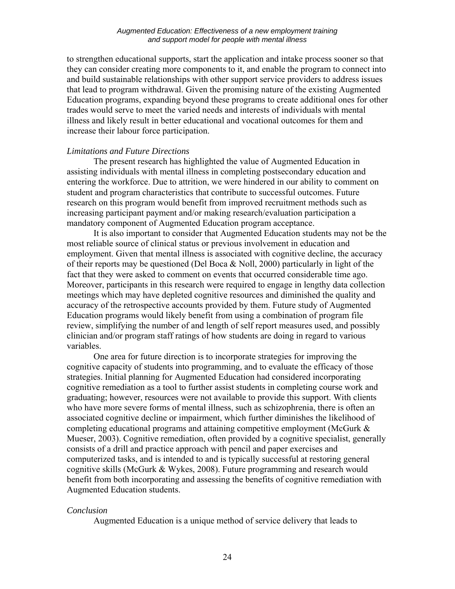to strengthen educational supports, start the application and intake process sooner so that they can consider creating more components to it, and enable the program to connect into and build sustainable relationships with other support service providers to address issues that lead to program withdrawal. Given the promising nature of the existing Augmented Education programs, expanding beyond these programs to create additional ones for other trades would serve to meet the varied needs and interests of individuals with mental illness and likely result in better educational and vocational outcomes for them and increase their labour force participation.

## *Limitations and Future Directions*

The present research has highlighted the value of Augmented Education in assisting individuals with mental illness in completing postsecondary education and entering the workforce. Due to attrition, we were hindered in our ability to comment on student and program characteristics that contribute to successful outcomes. Future research on this program would benefit from improved recruitment methods such as increasing participant payment and/or making research/evaluation participation a mandatory component of Augmented Education program acceptance.

It is also important to consider that Augmented Education students may not be the most reliable source of clinical status or previous involvement in education and employment. Given that mental illness is associated with cognitive decline, the accuracy of their reports may be questioned (Del Boca & Noll, 2000) particularly in light of the fact that they were asked to comment on events that occurred considerable time ago. Moreover, participants in this research were required to engage in lengthy data collection meetings which may have depleted cognitive resources and diminished the quality and accuracy of the retrospective accounts provided by them. Future study of Augmented Education programs would likely benefit from using a combination of program file review, simplifying the number of and length of self report measures used, and possibly clinician and/or program staff ratings of how students are doing in regard to various variables.

One area for future direction is to incorporate strategies for improving the cognitive capacity of students into programming, and to evaluate the efficacy of those strategies. Initial planning for Augmented Education had considered incorporating cognitive remediation as a tool to further assist students in completing course work and graduating; however, resources were not available to provide this support. With clients who have more severe forms of mental illness, such as schizophrenia, there is often an associated cognitive decline or impairment, which further diminishes the likelihood of completing educational programs and attaining competitive employment (McGurk & Mueser, 2003). Cognitive remediation, often provided by a cognitive specialist, generally consists of a drill and practice approach with pencil and paper exercises and computerized tasks, and is intended to and is typically successful at restoring general cognitive skills (McGurk & Wykes, 2008). Future programming and research would benefit from both incorporating and assessing the benefits of cognitive remediation with Augmented Education students.

## *Conclusion*

Augmented Education is a unique method of service delivery that leads to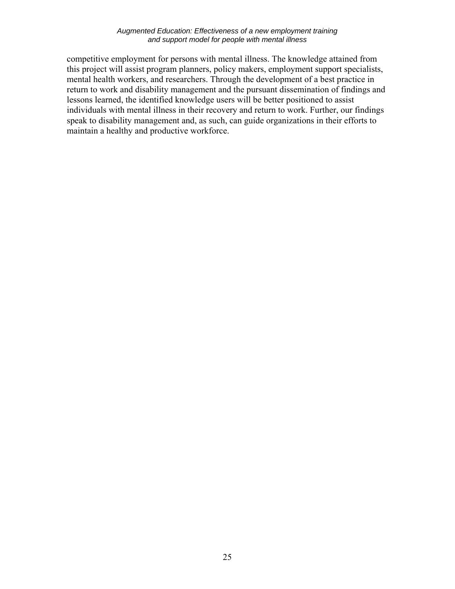#### *Augmented Education: Effectiveness of a new employment training and support model for people with mental illness*

competitive employment for persons with mental illness. The knowledge attained from this project will assist program planners, policy makers, employment support specialists, mental health workers, and researchers. Through the development of a best practice in return to work and disability management and the pursuant dissemination of findings and lessons learned, the identified knowledge users will be better positioned to assist individuals with mental illness in their recovery and return to work. Further, our findings speak to disability management and, as such, can guide organizations in their efforts to maintain a healthy and productive workforce.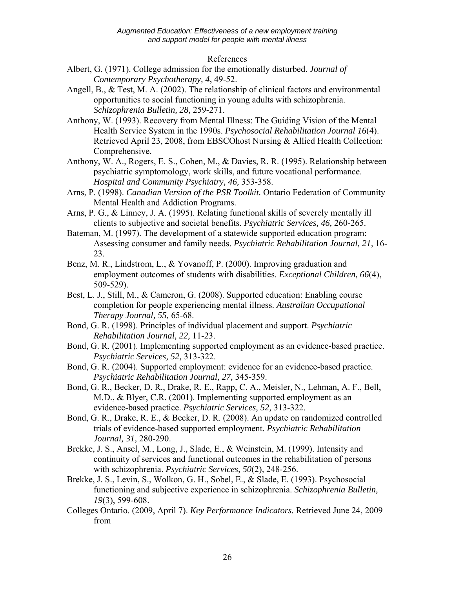### References

- Albert, G. (1971). College admission for the emotionally disturbed. *Journal of Contemporary Psychotherapy, 4*, 49-52.
- Angell, B., & Test, M. A. (2002). The relationship of clinical factors and environmental opportunities to social functioning in young adults with schizophrenia. *Schizophrenia Bulletin, 28,* 259-271.
- Anthony, W. (1993). Recovery from Mental Illness: The Guiding Vision of the Mental Health Service System in the 1990s. *Psychosocial Rehabilitation Journal 16*(4). Retrieved April 23, 2008, from EBSCOhost Nursing & Allied Health Collection: Comprehensive.
- Anthony, W. A., Rogers, E. S., Cohen, M., & Davies, R. R. (1995). Relationship between psychiatric symptomology, work skills, and future vocational performance. *Hospital and Community Psychiatry, 46,* 353-358.
- Arns, P. (1998). *Canadian Version of the PSR Toolkit.* Ontario Federation of Community Mental Health and Addiction Programs.
- Arns, P. G., & Linney, J. A. (1995). Relating functional skills of severely mentally ill clients to subjective and societal benefits. *Psychiatric Services, 46,* 260-265.
- Bateman, M. (1997). The development of a statewide supported education program: Assessing consumer and family needs. *Psychiatric Rehabilitation Journal, 21,* 16- 23.
- Benz, M. R., Lindstrom, L., & Yovanoff, P. (2000). Improving graduation and employment outcomes of students with disabilities. *Exceptional Children, 66*(4), 509-529).
- Best, L. J., Still, M., & Cameron, G. (2008). Supported education: Enabling course completion for people experiencing mental illness. *Australian Occupational Therapy Journal, 55,* 65-68.
- Bond, G. R. (1998). Principles of individual placement and support. *Psychiatric Rehabilitation Journal, 22,* 11-23.
- Bond, G. R. (2001). Implementing supported employment as an evidence-based practice. *Psychiatric Services, 52,* 313-322.
- Bond, G. R. (2004). Supported employment: evidence for an evidence-based practice. *Psychiatric Rehabilitation Journal, 27,* 345-359.
- Bond, G. R., Becker, D. R., Drake, R. E., Rapp, C. A., Meisler, N., Lehman, A. F., Bell, M.D., & Blyer, C.R. (2001). Implementing supported employment as an evidence-based practice. *Psychiatric Services, 52,* 313-322.
- Bond, G. R., Drake, R. E., & Becker, D. R. (2008). An update on randomized controlled trials of evidence-based supported employment. *Psychiatric Rehabilitation Journal, 31,* 280-290.
- Brekke, J. S., Ansel, M., Long, J., Slade, E., & Weinstein, M. (1999). Intensity and continuity of services and functional outcomes in the rehabilitation of persons with schizophrenia. *Psychiatric Services, 50*(2)*,* 248-256.
- Brekke, J. S., Levin, S., Wolkon, G. H., Sobel, E., & Slade, E. (1993). Psychosocial functioning and subjective experience in schizophrenia. *Schizophrenia Bulletin, 19*(3), 599-608.
- Colleges Ontario. (2009, April 7). *Key Performance Indicators.* Retrieved June 24, 2009 from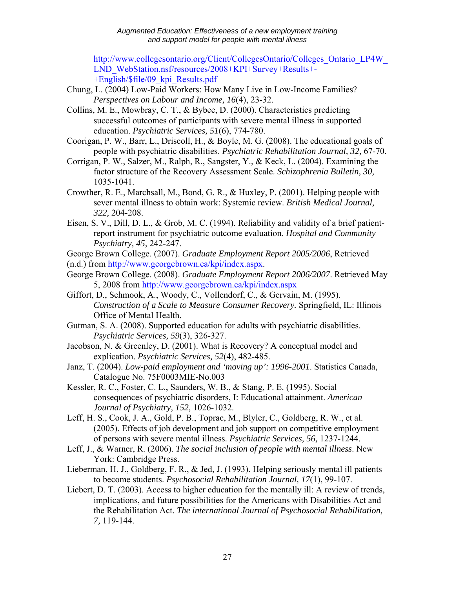[http://www.collegesontario.org/Client/CollegesOntario/Colleges\\_Ontario\\_LP4W\\_](http://www.collegesontario.org/Client/CollegesOntario/Colleges_Ontario_LP4W_LND_WebStation.nsf/resources/2008+KPI+Survey+Results+-+English/$file/09_kpi_Results.pdf) LND\_WebStation.nsf/resources/2008+KPI+Survey+Results+- +English/\$file/09\_kpi\_Results.pdf

- Chung, L. (2004) Low-Paid Workers: How Many Live in Low-Income Families? *Perspectives on Labour and Income, 16*(4), 23-32.
- Collins, M. E., Mowbray, C. T., & Bybee, D. (2000). Characteristics predicting successful outcomes of participants with severe mental illness in supported education. *Psychiatric Services, 51*(6), 774-780.
- Coorigan, P. W., Barr, L., Driscoll, H., & Boyle, M. G. (2008). The educational goals of people with psychiatric disabilities. *Psychiatric Rehabilitation Journal, 32,* 67-70.
- Corrigan, P. W., Salzer, M., Ralph, R., Sangster, Y., & Keck, L. (2004). Examining the factor structure of the Recovery Assessment Scale. *Schizophrenia Bulletin, 30,* 1035-1041.
- Crowther, R. E., Marchsall, M., Bond, G. R., & Huxley, P. (2001). Helping people with sever mental illness to obtain work: Systemic review. *British Medical Journal, 322,* 204-208.
- Eisen, S. V., Dill, D. L., & Grob, M. C. (1994). Reliability and validity of a brief patientreport instrument for psychiatric outcome evaluation. *Hospital and Community Psychiatry, 45,* 242-247.
- George Brown College. (2007). *Graduate Employment Report 2005/2006*, Retrieved
- (n.d.) from http://www.georgebrown.ca/kpi/index.aspx.
- George Brown College. (2008). *Graduate Employment Report 2006/2007*. Retrieved May 5, 2008 from http://www.georgebrown.ca/kpi/index.aspx
- Giffort, D., Schmook, A., Woody, C., Vollendorf, C., & Gervain, M. (1995). *Construction of a Scale to Measure Consumer Recovery.* Springfield, IL: Illinois Office of Mental Health.
- Gutman, S. A. (2008). Supported education for adults with psychiatric disabilities. *Psychiatric Services, 59*(3), 326-327.
- Jacobson, N. & Greenley, D. (2001). What is Recovery? A conceptual model and explication. *Psychiatric Services, 52*(4), 482-485.
- Janz, T. (2004). *Low-paid employment and 'moving up': 1996-2001*. Statistics Canada, Catalogue No. 75F0003MIE-No.003
- Kessler, R. C., Foster, C. L., Saunders, W. B., & Stang, P. E. (1995). Social consequences of psychiatric disorders, I: Educational attainment. *American Journal of Psychiatry, 152,* 1026-1032.
- Leff, H. S., Cook, J. A., Gold, P. B., Toprac, M., Blyler, C., Goldberg, R. W., et al. (2005). Effects of job development and job support on competitive employment of persons with severe mental illness. *Psychiatric Services, 56,* 1237-1244.
- Leff, J., & Warner, R. (2006). *The social inclusion of people with mental illness*. New York: Cambridge Press.
- Lieberman, H. J., Goldberg, F. R., & Jed, J. (1993). Helping seriously mental ill patients to become students. *Psychosocial Rehabilitation Journal, 17*(1), 99-107.
- Liebert, D. T. (2003). Access to higher education for the mentally ill: A review of trends, implications, and future possibilities for the Americans with Disabilities Act and the Rehabilitation Act. *The international Journal of Psychosocial Rehabilitation, 7,* 119-144.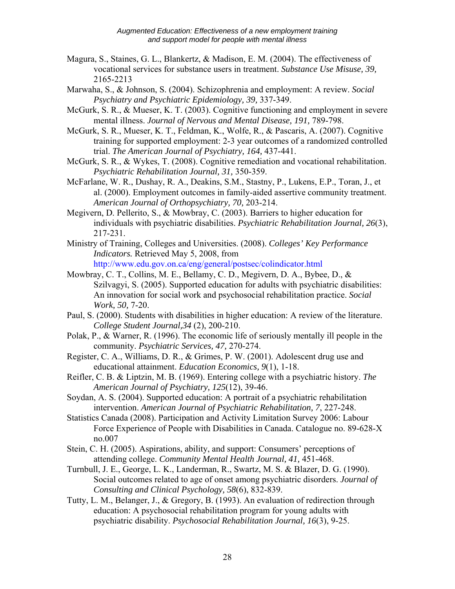- Magura, S., Staines, G. L., Blankertz, & Madison, E. M. (2004). The effectiveness of vocational services for substance users in treatment. *Substance Use Misuse, 39,*  2165-2213
- Marwaha, S., & Johnson, S. (2004). Schizophrenia and employment: A review. *Social Psychiatry and Psychiatric Epidemiology, 39,* 337-349.
- McGurk, S. R., & Mueser, K. T. (2003). Cognitive functioning and employment in severe mental illness. *Journal of Nervous and Mental Disease, 191,* 789-798.
- McGurk, S. R., Mueser, K. T., Feldman, K., Wolfe, R., & Pascaris, A. (2007). Cognitive training for supported employment: 2-3 year outcomes of a randomized controlled trial. *The American Journal of Psychiatry, 164,* 437-441.
- McGurk, S. R., & Wykes, T. (2008). Cognitive remediation and vocational rehabilitation. *Psychiatric Rehabilitation Journal, 31,* 350-359.
- McFarlane, W. R., Dushay, R. A., Deakins, S.M., Stastny, P., Lukens, E.P., Toran, J., et al. (2000). Employment outcomes in family-aided assertive community treatment. *American Journal of Orthopsychiatry, 70,* 203-214.
- Megivern, D. Pellerito, S., & Mowbray, C. (2003). Barriers to higher education for individuals with psychiatric disabilities. *Psychiatric Rehabilitation Journal, 26*(3), 217-231.
- Ministry of Training, Colleges and Universities. (2008). *Colleges' Key Performance Indicators.* Retrieved May 5, 2008, from http://www.edu.gov.on.ca/eng/general/postsec/colindicator.html
- Mowbray, C. T., Collins, M. E., Bellamy, C. D., Megivern, D. A., Bybee, D., & Szilvagyi, S. (2005). Supported education for adults with psychiatric disabilities: An innovation for social work and psychosocial rehabilitation practice. *Social Work, 50,* 7-20.
- Paul, S. (2000). Students with disabilities in higher education: A review of the literature. *College Student Journal,34* (2), 200-210.
- Polak, P., & Warner, R. (1996). The economic life of seriously mentally ill people in the community. *Psychiatric Services, 47,* 270-274.
- Register, C. A., Williams, D. R., & Grimes, P. W. (2001). Adolescent drug use and educational attainment. *Education Economics, 9*(1), 1-18.
- Reifler, C. B. & Liptzin, M. B. (1969). Entering college with a psychiatric history. *The American Journal of Psychiatry, 125*(12), 39-46.

Soydan, A. S. (2004). Supported education: A portrait of a psychiatric rehabilitation intervention. *American Journal of Psychiatric Rehabilitation, 7*, 227-248.

- Statistics Canada (2008). Participation and Activity Limitation Survey 2006: Labour Force Experience of People with Disabilities in Canada. Catalogue no. 89-628-X no.007
- Stein, C. H. (2005). Aspirations, ability, and support: Consumers' perceptions of attending college. *Community Mental Health Journal, 41,* 451-468.
- Turnbull, J. E., George, L. K., Landerman, R., Swartz, M. S. & Blazer, D. G. (1990). Social outcomes related to age of onset among psychiatric disorders. *Journal of Consulting and Clinical Psychology, 58*(6), 832-839.
- Tutty, L. M., Belanger, J., & Gregory, B. (1993). An evaluation of redirection through education: A psychosocial rehabilitation program for young adults with psychiatric disability. *Psychosocial Rehabilitation Journal, 16*(3), 9-25.